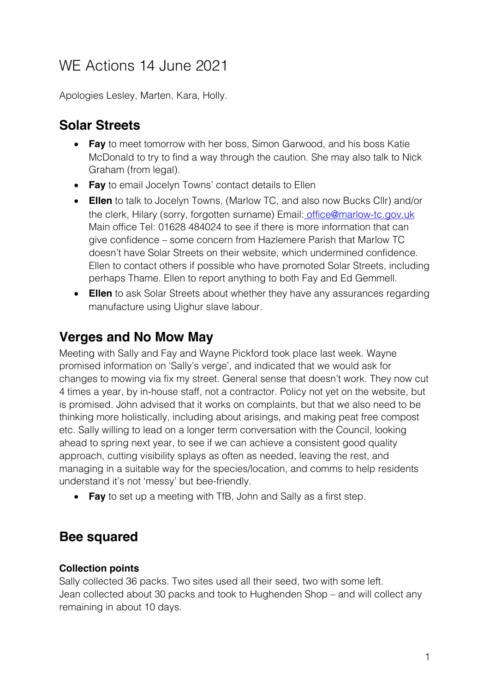# WE Actions 14 June 2021

Apologies Lesley, Marten, Kara, Holly.

### **Solar Streets**

- **Fay** to meet tomorrow with her boss, Simon Garwood, and his boss Katie McDonald to try to find a way through the caution. She may also talk to Nick Graham (from legal).
- **Fay** to email Jocelyn Towns' contact details to Ellen
- **Ellen** to talk to Jocelyn Towns, (Marlow TC, and also now Bucks Cllr) and/or the clerk, Hilary (sorry, forgotten surname) Email: office@marlow-tc.gov.uk Main office Tel: 01628 484024 to see if there is more information that can give confidence – some concern from Hazlemere Parish that Marlow TC doesn't have Solar Streets on their website, which undermined confidence. Ellen to contact others if possible who have promoted Solar Streets, including perhaps Thame. Ellen to report anything to both Fay and Ed Gemmell.
- **Ellen** to ask Solar Streets about whether they have any assurances regarding manufacture using Uighur slave labour.

### **Verges and No Mow May**

Meeting with Sally and Fay and Wayne Pickford took place last week. Wayne promised information on 'Sally's verge', and indicated that we would ask for changes to mowing via fix my street. General sense that doesn't work. They now cut 4 times a year, by in-house staff, not a contractor. Policy not yet on the website, but is promised. John advised that it works on complaints, but that we also need to be thinking more holistically, including about arisings, and making peat free compost etc. Sally willing to lead on a longer term conversation with the Council, looking ahead to spring next year, to see if we can achieve a consistent good quality approach, cutting visibility splays as often as needed, leaving the rest, and managing in a suitable way for the species/location, and comms to help residents understand it's not 'messy' but bee-friendly.

• **Fay** to set up a meeting with TfB, John and Sally as a first step.

### **Bee squared**

### **Collection points**

Sally collected 36 packs. Two sites used all their seed, two with some left. Jean collected about 30 packs and took to Hughenden Shop – and will collect any remaining in about 10 days.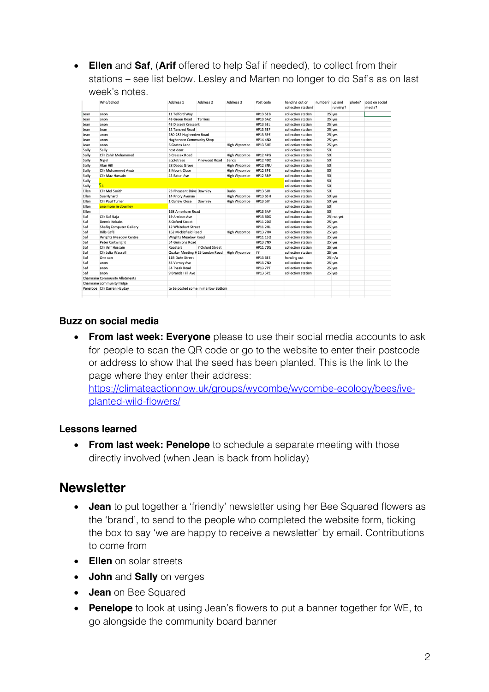• **Ellen** and **Saf**, (**Arif** offered to help Saf if needed), to collect from their stations – see list below. Lesley and Marten no longer to do Saf's as on last week's notes.

|       | Who/School                            | Address 1                          | Address 2                       | Address 3           | Post code       | handing out or<br>collection station? | number? up and | running?   | photo? | post on social<br>media? |
|-------|---------------------------------------|------------------------------------|---------------------------------|---------------------|-----------------|---------------------------------------|----------------|------------|--------|--------------------------|
| Jean  | anon                                  | 11 Telford Way                     |                                 |                     | <b>HP13 5EB</b> | collection station                    |                | 25 yes     |        |                          |
| Jean  | anon                                  | 43 Green Road                      | <b>Terriers</b>                 |                     | <b>HP13 5AZ</b> | collection station                    |                | 25 yes     |        |                          |
| Jean  | anon                                  | 43 Disraeli Crescent               |                                 |                     | HP13 SEL        | collection station                    |                | 25 yes     |        |                          |
| Jean  | Jean                                  | 12 Tancred Road                    |                                 |                     | HP13 5EF        | collection station                    |                | 25 yes     |        |                          |
| Jean  | anon                                  | 280-282 Hughenden Road             |                                 |                     | HP13 SPE        | collection station                    |                | 25 yes     |        |                          |
| Jean  | anon                                  | Hughenden Community Shop           |                                 |                     | <b>HP14 4NX</b> | collection station                    |                | 25 yes     |        |                          |
| Jean  | anon                                  | 6 Coates Lane                      |                                 | High Wycombe        | HP13 5HE        | collection station                    |                | 25 yes     |        |                          |
| Sally | Sally                                 | next door.                         |                                 |                     |                 | collection station                    | 50             |            |        |                          |
| Sally | Cllr Zahir Mohammed                   | 5 Cressex Road                     |                                 | High Wycombe        | <b>HP12 4PG</b> | collection station                    | 50             |            |        |                          |
| Sally | Nigel                                 | appletrees                         | Pinewood Road                   | Sands               | <b>HP12 4DD</b> | collection station                    | 50             |            |        |                          |
| Sally | Alan Hill                             | 28 Deeds Grove                     |                                 | High Wycombe        | <b>HP12 3NU</b> | collection station                    | 50             |            |        |                          |
| Sally | Cllr Mohammed Ayub                    | 3 Mount Close                      |                                 | High Wycombe        | <b>HP12 3PE</b> | collection station                    | 50             |            |        |                          |
| Sally | Cllr Maz Hussain                      | 42 Eaton Ave                       |                                 | High Wycombe        | <b>HP12 3BP</b> | collection station                    | 50             |            |        |                          |
| Sally |                                       |                                    |                                 |                     |                 | collection station                    | 50             |            |        |                          |
| Sally | $\mathbf{z}_1$                        |                                    |                                 |                     |                 | collection station                    | 50             |            |        |                          |
| Ellen | Cllr Mel Smith                        | 23 Pheasant Drive Downley          |                                 | <b>Bucks</b>        | <b>HP13 5JH</b> | collection station                    | 50             |            |        |                          |
| Ellen | Sue Hynard                            | 14 Priory Avenue                   |                                 | High Wycombe        | <b>HP13 6SH</b> | collection station                    |                | 50 yes     |        |                          |
| Ellen | <b>Cllr Paul Turner</b>               | 1 Curlew Close                     | Downley                         | High Wycombe        | <b>HP13 5JY</b> | collection station                    |                | 50 yes     |        |                          |
| Ellen | one more in downley                   |                                    |                                 |                     |                 | collection station                    | 50             |            |        |                          |
| Ellen |                                       | 168 Amerham Road                   |                                 |                     | <b>HP13 5AF</b> | collection station                    | 50             |            |        |                          |
| Saf   | Cllr Saf Raja                         | 19 Arnison Ave                     |                                 |                     | <b>HP13 6DD</b> | collection station                    |                | 25 not yet |        |                          |
| Saf   | Dennis Kebabs                         | 8 Oxford Street                    |                                 |                     | <b>HP11 2DG</b> | collection station                    |                | 25 yes     |        |                          |
| Saf   | <b>Shafiq Computer Gallery</b>        | 12 Whitehart Street                |                                 |                     | <b>HP11 2HL</b> | collection station                    |                | 25 yes     |        |                          |
| Saf   | Hills Café                            | 162 Micklefield Road               |                                 | <b>High Wycombe</b> | <b>HP13 7HA</b> | collection station                    |                | 25 yes     |        |                          |
| Saf   | <b>Wrights Meadow Centre</b>          | <b>Wrights Meadow Road</b>         |                                 |                     | <b>HP11 1SQ</b> | collection station                    |                | 25 yes     |        |                          |
| Saf   | <b>Peter Cartwright</b>               | 54 Guinions Road                   |                                 |                     | <b>HP13 7NX</b> | collection station                    |                | 25 yes     |        |                          |
| Saf   | Cllr Arif Hussain                     | Roosters                           | 7 Oxford Street                 |                     | <b>HP11 7DG</b> | collection station                    |                | 25 yes     |        |                          |
| Saf   | Cllr Julia Wassell                    |                                    | Quaker Meeting H 25 London Road | High Wycombe        | ??              | collection station                    |                | 25 yes     |        |                          |
| Saf   | One can                               | 11B Duke Street                    |                                 |                     | <b>HP13 6EE</b> | handing out                           |                | 25 n/a     |        |                          |
| Saf   | anon                                  | 35 Verney Ave                      |                                 |                     | <b>HP13 7NX</b> | collection station                    |                | 25 yes     |        |                          |
| Saf   | anon                                  | 54 Tyzak Road                      |                                 |                     | <b>HP13 7PT</b> | collection station                    |                | 25 yes     |        |                          |
| Saf   | anon                                  | 9 Brands Hill Ave                  |                                 |                     | <b>HP13 5PZ</b> | collection station                    |                | 25 yes     |        |                          |
|       | <b>Charmaine Community Allotments</b> |                                    |                                 |                     |                 |                                       |                |            |        |                          |
|       | Charmaine community fridge            |                                    |                                 |                     |                 |                                       |                |            |        |                          |
|       | Penelope Cllr Darren Hayday           | to be posted some in marlow Bottom |                                 |                     |                 |                                       |                |            |        |                          |
|       |                                       |                                    |                                 |                     |                 |                                       |                |            |        |                          |

#### **Buzz on social media**

• **From last week: Everyone** please to use their social media accounts to ask for people to scan the QR code or go to the website to enter their postcode or address to show that the seed has been planted. This is the link to the page where they enter their address:

https://climateactionnow.uk/groups/wycombe/wycombe-ecology/bees/iveplanted-wild-flowers/

#### **Lessons learned**

• **From last week: Penelope** to schedule a separate meeting with those directly involved (when Jean is back from holiday)

### **Newsletter**

- **Jean** to put together a 'friendly' newsletter using her Bee Squared flowers as the 'brand', to send to the people who completed the website form, ticking the box to say 'we are happy to receive a newsletter' by email. Contributions to come from
- **Ellen** on solar streets
- **John** and **Sally** on verges
- **Jean** on Bee Squared
- **Penelope** to look at using Jean's flowers to put a banner together for WE, to go alongside the community board banner